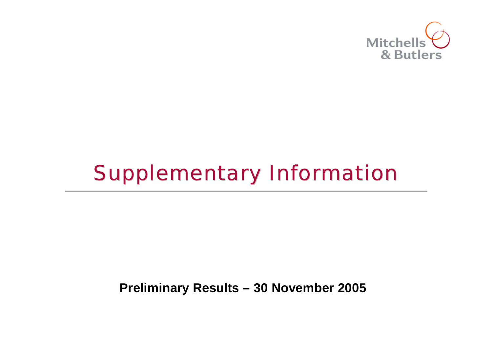

# Supplementary Information

### **Preliminary Results – 30 November 2005**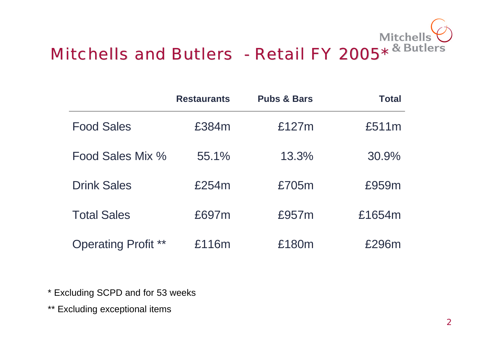

|                            | <b>Restaurants</b> | <b>Pubs &amp; Bars</b> | <b>Total</b> |
|----------------------------|--------------------|------------------------|--------------|
| <b>Food Sales</b>          | £384m              | £127m                  | £511m        |
| Food Sales Mix %           | 55.1%              | 13.3%                  | 30.9%        |
| <b>Drink Sales</b>         | £254m              | £705m                  | £959m        |
| <b>Total Sales</b>         | £697m              | £957m                  | £1654m       |
| <b>Operating Profit **</b> | £116m              | £180m                  | £296m        |

\* Excluding SCPD and for 53 weeks

\*\* Excluding exceptional items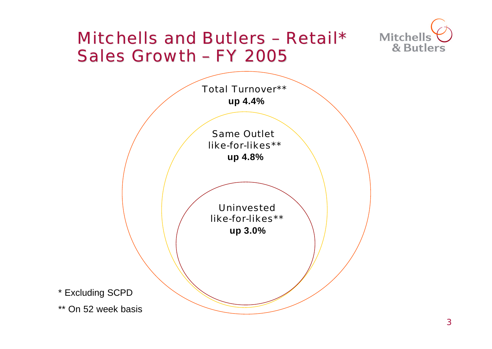### Mitchells and Butlers – Retail\* Sales Growth – FY 2005



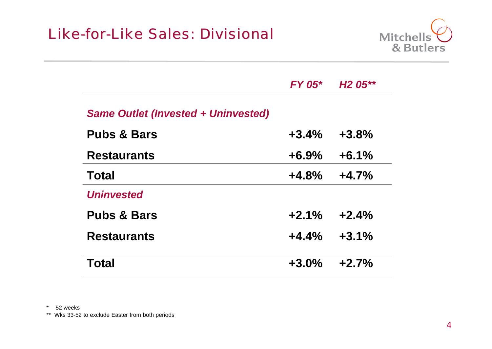

|                                            | $FY$ 05* | H <sub>2</sub> 05** |
|--------------------------------------------|----------|---------------------|
| <b>Same Outlet (Invested + Uninvested)</b> |          |                     |
| <b>Pubs &amp; Bars</b>                     | $+3.4%$  | $+3.8%$             |
| <b>Restaurants</b>                         | $+6.9%$  | $+6.1%$             |
| Total                                      | $+4.8%$  | $+4.7%$             |
| <b>Uninvested</b>                          |          |                     |
| <b>Pubs &amp; Bars</b>                     | $+2.1%$  | $+2.4%$             |
| <b>Restaurants</b>                         | $+4.4%$  | $+3.1%$             |
| <b>Total</b>                               | $+3.0%$  | $+2.7%$             |

\* 52 weeks

\*\* Wks 33-52 to exclude Easter from both periods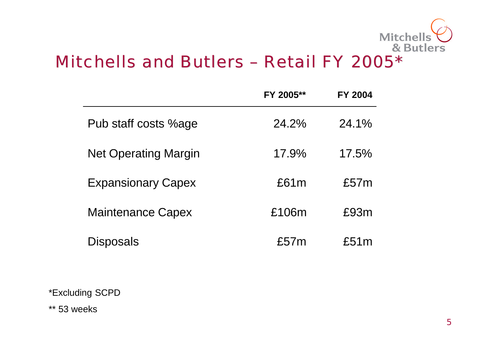

## Mitchells and Butlers – Retail FY 2005\*

|                             | FY 2005** | <b>FY 2004</b> |
|-----------------------------|-----------|----------------|
| Pub staff costs %age        | 24.2%     | 24.1%          |
| <b>Net Operating Margin</b> | 17.9%     | 17.5%          |
| <b>Expansionary Capex</b>   | £61m      | £57m           |
| <b>Maintenance Capex</b>    | £106m     | £93m           |
| Disposals                   | £57m      | £51m           |

\*Excluding SCPD

\*\* 53 weeks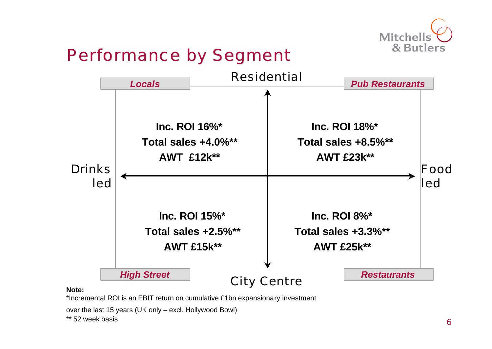

## Performance by Segment



#### **Note:**

\*Incremental ROI is an EBIT return on cumulative £1bn expansionary investment

over the last 15 years (UK only – excl. Hollywood Bowl)

\*\* 52 week basis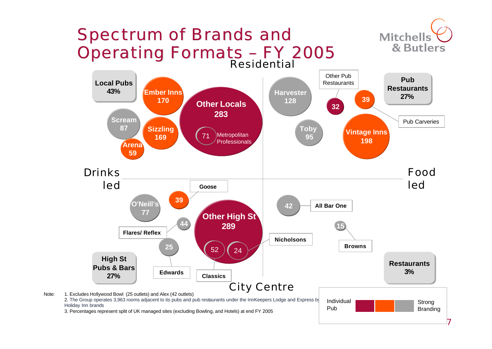

7

Strong **Branding** 

Individual Pub

Note: 1. Excludes Hollywood Bowl (25 outlets) and Alex (42 outlets) 2. The Group operates 3,963 rooms adjacent to its pubs and pub restaurants under the InnKeepers Lodge and Express by Holiday Inn brands

3. Percentages represent split of UK managed sites (excluding Bowling, and Hotels) at end FY 2005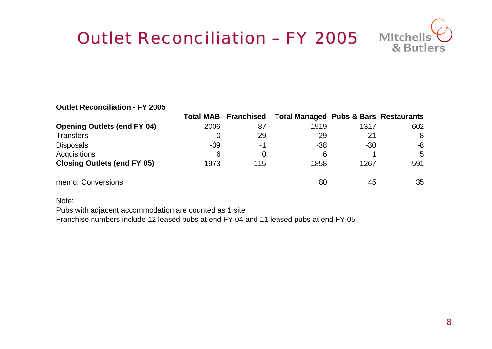## Outlet Reconciliation - FY 2005 Mitchells

#### **Outlet Reconciliation - FY 2005**

|                                    |       | <b>Total MAB Franchised</b> | <b>Total Managed Pubs &amp; Bars Restaurants</b> |       |     |
|------------------------------------|-------|-----------------------------|--------------------------------------------------|-------|-----|
| <b>Opening Outlets (end FY 04)</b> | 2006  | 87                          | 1919                                             | 1317  | 602 |
| <b>Transfers</b>                   |       | 29                          | $-29$                                            | -21   | -8  |
| <b>Disposals</b>                   | $-39$ | -1                          | $-38$                                            | $-30$ | -8  |
| <b>Acquisitions</b>                | 6     | 0                           | 6                                                |       | 5   |
| <b>Closing Outlets (end FY 05)</b> | 1973  | 115                         | 1858                                             | 1267  | 591 |
| memo: Conversions                  |       |                             | 80                                               | 45    | 35  |

Note:

Pubs with adjacent accommodation are counted as 1 site

Franchise numbers include 12 leased pubs at end FY 04 and 11 leased pubs at end FY 05

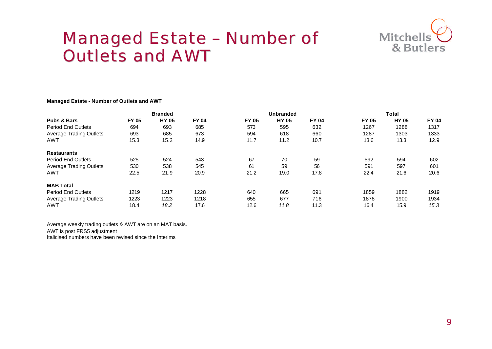

### Managed Estate – Number of Outlets and AWT

#### **Managed Estate - Number of Outlets and AWT**

|                                | <b>Branded</b> |              |              | <b>Unbranded</b> |              |              | <b>Total</b> |              |              |
|--------------------------------|----------------|--------------|--------------|------------------|--------------|--------------|--------------|--------------|--------------|
| <b>Pubs &amp; Bars</b>         | <b>FY 05</b>   | <b>HY 05</b> | <b>FY 04</b> | <b>FY 05</b>     | <b>HY 05</b> | <b>FY 04</b> | <b>FY 05</b> | <b>HY 05</b> | <b>FY 04</b> |
| <b>Period End Outlets</b>      | 694            | 693          | 685          | 573              | 595          | 632          | 1267         | 1288         | 1317         |
| <b>Average Trading Outlets</b> | 693            | 685          | 673          | 594              | 618          | 660          | 1287         | 1303         | 1333         |
| <b>AWT</b>                     | 15.3           | 15.2         | 14.9         | 11.7             | 11.2         | 10.7         | 13.6         | 13.3         | 12.9         |
| <b>Restaurants</b>             |                |              |              |                  |              |              |              |              |              |
| <b>Period End Outlets</b>      | 525            | 524          | 543          | 67               | 70           | 59           | 592          | 594          | 602          |
| <b>Average Trading Outlets</b> | 530            | 538          | 545          | 61               | 59           | 56           | 591          | 597          | 601          |
| <b>AWT</b>                     | 22.5           | 21.9         | 20.9         | 21.2             | 19.0         | 17.8         | 22.4         | 21.6         | 20.6         |
| <b>MAB Total</b>               |                |              |              |                  |              |              |              |              |              |
| <b>Period End Outlets</b>      | 1219           | 1217         | 1228         | 640              | 665          | 691          | 1859         | 1882         | 1919         |
| <b>Average Trading Outlets</b> | 1223           | 1223         | 1218         | 655              | 677          | 716          | 1878         | 1900         | 1934         |
| AWT                            | 18.4           | 18.2         | 17.6         | 12.6             | 11.8         | 11.3         | 16.4         | 15.9         | 15.3         |

Average weekly trading outlets & AWT are on an MAT basis. AWT is post FRS5 adjustment Italicised numbers have been revised since the Interims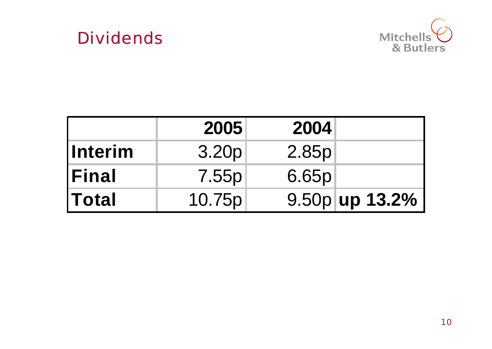



|                | 2005   | 2004  |                |
|----------------|--------|-------|----------------|
| <b>Interim</b> | 3.20p  | 2.85p |                |
| <b>Final</b>   | 7.55p  | 6.65p |                |
| <b>Total</b>   | 10.75p |       | 9.50p up 13.2% |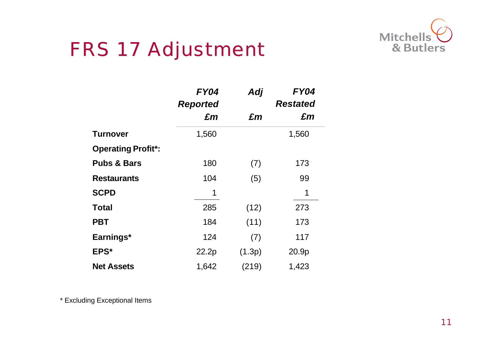

## FRS 17 Adjustment

|                           | <b>FY04</b>     | Adj    | <b>FY04</b>     |
|---------------------------|-----------------|--------|-----------------|
|                           | <b>Reported</b> |        | <b>Restated</b> |
|                           | £m              | £m     | £m              |
| <b>Turnover</b>           | 1,560           |        | 1,560           |
| <b>Operating Profit*:</b> |                 |        |                 |
| <b>Pubs &amp; Bars</b>    | 180             | (7)    | 173             |
| <b>Restaurants</b>        | 104             | (5)    | 99              |
| <b>SCPD</b>               | 1               |        | 1               |
| <b>Total</b>              | 285             | (12)   | 273             |
| <b>PBT</b>                | 184             | (11)   | 173             |
| Earnings*                 | 124             | (7)    | 117             |
| EPS*                      | 22.2p           | (1.3p) | 20.9p           |
| <b>Net Assets</b>         | 1,642           | (219)  | 1,423           |

\* Excluding Exceptional Items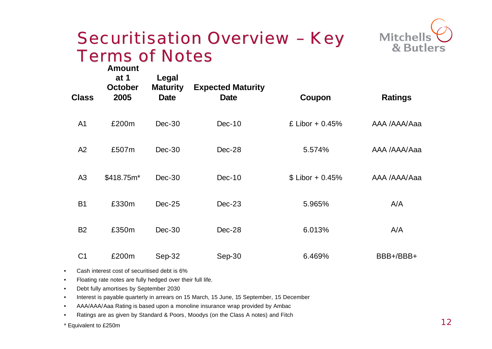

### Securitisation Overview – Key Terms of Notes

| <b>Class</b>   | <b>Amount</b><br>at $1$<br><b>October</b><br>2005 | Legal<br><b>Maturity</b><br><b>Date</b> | <b>Expected Maturity</b><br><b>Date</b> | Coupon            | <b>Ratings</b> |
|----------------|---------------------------------------------------|-----------------------------------------|-----------------------------------------|-------------------|----------------|
| A <sub>1</sub> | £200m                                             | $Dec-30$                                | $Dec-10$                                | £ Libor + $0.45%$ | AAA /AAA/Aaa   |
| A2             | £507m                                             | $Dec-30$                                | Dec-28                                  | 5.574%            | AAA /AAA/Aaa   |
| A3             | \$418.75m*                                        | $Dec-30$                                | $Dec-10$                                | $$ Libor + 0.45%$ | AAA /AAA/Aaa   |
| <b>B1</b>      | £330m                                             | $Dec-25$                                | $Dec-23$                                | 5.965%            | A/A            |
| <b>B2</b>      | £350m                                             | $Dec-30$                                | Dec-28                                  | 6.013%            | A/A            |
| C <sub>1</sub> | £200m                                             | Sep-32                                  | Sep-30                                  | 6.469%            | BBB+/BBB+      |

- Cash interest cost of securitised debt is 6%
- Floating rate notes are fully hedged over their full life.
- Debt fully amortises by September 2030
- Interest is payable quarterly in arrears on 15 March, 15 June, 15 September, 15 December
- AAA/AAA/Aaa Rating is based upon a monoline insurance wrap provided by Ambac
- Ratings are as given by Standard & Poors, Moodys (on the Class A notes) and Fitch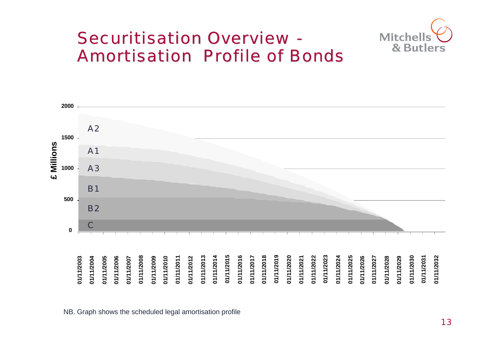## Securitisation Overview - Amortisation Profile of Bonds





NB. Graph shows the scheduled legal amortisation profile